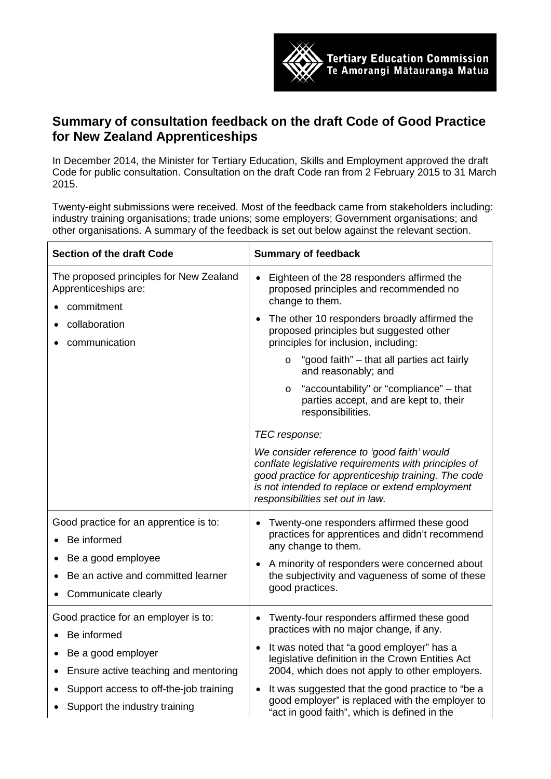

## **Summary of consultation feedback on the draft Code of Good Practice for New Zealand Apprenticeships**

In December 2014, the Minister for Tertiary Education, Skills and Employment approved the draft Code for public consultation. Consultation on the draft Code ran from 2 February 2015 to 31 March 2015.

Twenty-eight submissions were received. Most of the feedback came from stakeholders including: industry training organisations; trade unions; some employers; Government organisations; and other organisations. A summary of the feedback is set out below against the relevant section.

| <b>Section of the draft Code</b>                                                                                                                                                             | <b>Summary of feedback</b>                                                                                                                                                                                                                                                                                                                                                                                                                                                                                                                                                                                                                                                                                                         |
|----------------------------------------------------------------------------------------------------------------------------------------------------------------------------------------------|------------------------------------------------------------------------------------------------------------------------------------------------------------------------------------------------------------------------------------------------------------------------------------------------------------------------------------------------------------------------------------------------------------------------------------------------------------------------------------------------------------------------------------------------------------------------------------------------------------------------------------------------------------------------------------------------------------------------------------|
| The proposed principles for New Zealand<br>Apprenticeships are:<br>commitment<br>collaboration<br>communication                                                                              | Eighteen of the 28 responders affirmed the<br>$\bullet$<br>proposed principles and recommended no<br>change to them.<br>The other 10 responders broadly affirmed the<br>proposed principles but suggested other<br>principles for inclusion, including:<br>"good faith" - that all parties act fairly<br>$\circ$<br>and reasonably; and<br>"accountability" or "compliance" – that<br>$\circ$<br>parties accept, and are kept to, their<br>responsibilities.<br>TEC response:<br>We consider reference to 'good faith' would<br>conflate legislative requirements with principles of<br>good practice for apprenticeship training. The code<br>is not intended to replace or extend employment<br>responsibilities set out in law. |
| Good practice for an apprentice is to:<br>Be informed<br>Be a good employee<br>Be an active and committed learner<br>Communicate clearly                                                     | Twenty-one responders affirmed these good<br>practices for apprentices and didn't recommend<br>any change to them.<br>A minority of responders were concerned about<br>the subjectivity and vagueness of some of these<br>good practices.                                                                                                                                                                                                                                                                                                                                                                                                                                                                                          |
| Good practice for an employer is to:<br>Be informed<br>Be a good employer<br>Ensure active teaching and mentoring<br>Support access to off-the-job training<br>Support the industry training | Twenty-four responders affirmed these good<br>practices with no major change, if any.<br>It was noted that "a good employer" has a<br>$\bullet$<br>legislative definition in the Crown Entities Act<br>2004, which does not apply to other employers.<br>It was suggested that the good practice to "be a<br>good employer" is replaced with the employer to<br>"act in good faith", which is defined in the                                                                                                                                                                                                                                                                                                                       |